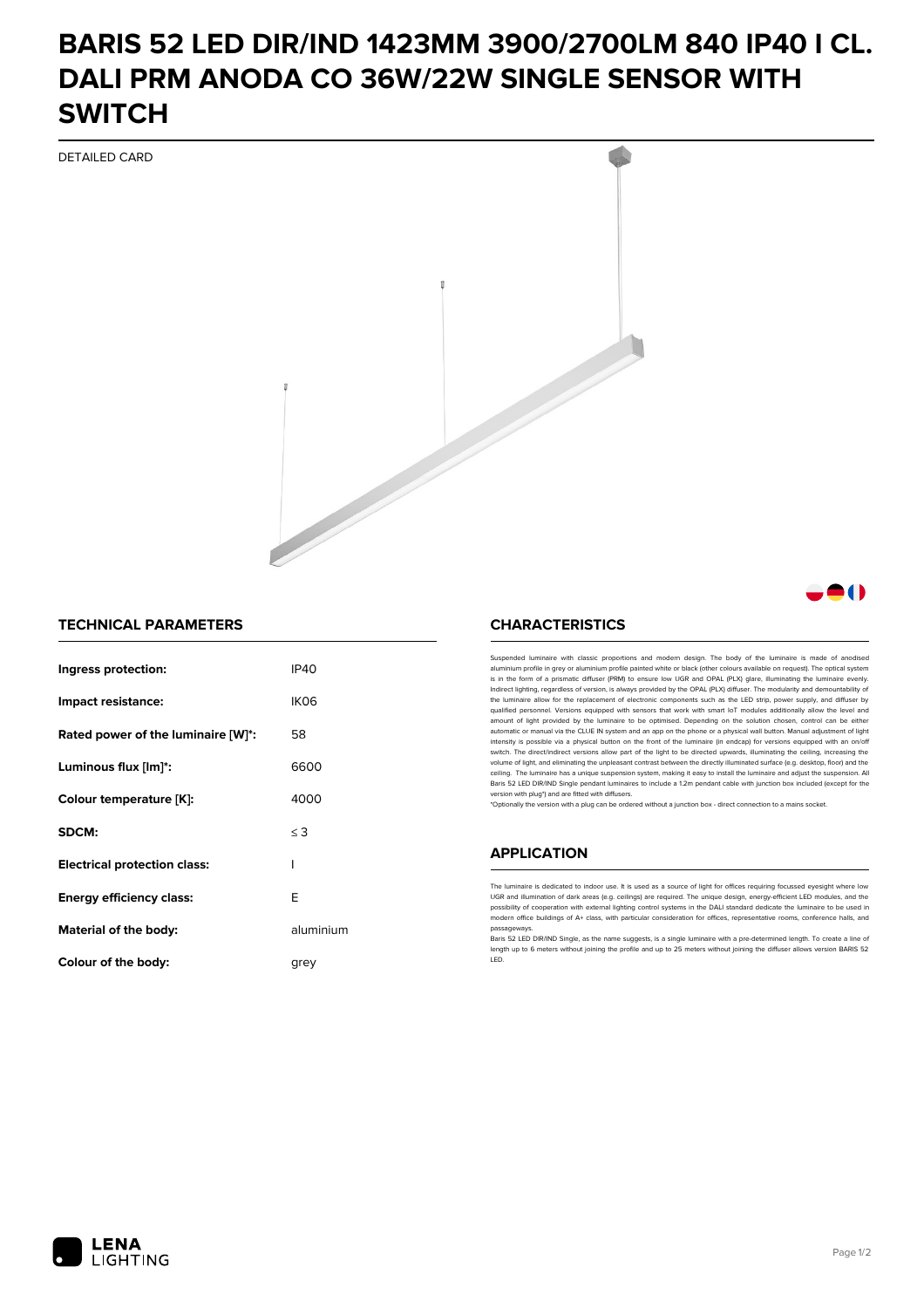# **BARIS 52 LED DIR/IND 1423MM 3900/2700LM 840 IP40 I CL. DALI PRM ANODA CO 36W/22W SINGLE SENSOR WITH SWITCH**

DETAILED CARD



### **TECHNICAL PARAMETERS**

| Ingress protection:                 | <b>IP40</b>      |
|-------------------------------------|------------------|
| Impact resistance:                  | IK <sub>06</sub> |
| Rated power of the luminaire [W]*:  | 58               |
| Luminous flux [lm]*:                | 6600             |
| Colour temperature [K]:             | 4000             |
| SDCM:                               | $\leq$ 3         |
| <b>Electrical protection class:</b> | ı                |
| <b>Energy efficiency class:</b>     | F                |
| Material of the body:               | aluminium        |
| Colour of the body:                 | arev             |

#### **CHARACTERISTICS**

Suspended luminaire with classic proportions and modern design. The body of the luminaire is made of an aluminium profile in grey or aluminium profile painted white or black (other colours available on request). The optical system is in the form of a prismatic diffuser (PRM) to ensure low UGR and OPAL (PLX) glare, illuminating the luminaire evenly.<br>Indirect lighting, regardless of version, is always provided by the OPAL (PLX) diffuser. The modularit the luminaire allow for the replacement of electronic components such as the LED strip, power supply, and diffuser by qualified personnel. Versions equipped with sensors that work with smart IoT modules additionally allow the level and amount of light provided by the luminaire to be optimised. Depending on the solution chosen, control can be either automatic or manual via the CLUE IN system and an app on the phone or a physical wall button. Manual adjustment of light<br>intensity is possible via a physical button on the front of the luminaire (in endcap) for versions eq switch. The direct/indirect versions allow part of the light to be directed upwards, illuminating the ceiling, increasing the volume of light, and eliminating the unpleasant contrast between the directly illuminated surface (e.g. desktop, floor) and the ceiling. The luminaire has a unique suspension system, making it easy to install the luminaire and adjust the suspension. All Baris 52 LED DIR/IND Single pendant Iuminaires to include a 1.2m pendant cable with junction box included (except for the<br>version with plug\*) and are fitted with diffusers.

\*Optionally the version with a plug can be ordered without a junction box - direct connection to a mains socket.

#### **APPLICATION**

The luminaire is dedicated to indoor use. It is used as a source of light for offices requiring focussed eyesight where low UGR and illumination of dark areas (e.g. ceilings) are required. The unique design, energy-efficient LED modules, and the<br>possibility of cooperation with external lighting control systems in the DALI standard dedicate the modern office buildings of A+ class, with particular consideration for offices, representative rooms, conference halls, and passage

Baris 52 LED DIR/IND Single, as the name suggests, is a single luminaire with a pre-determined length. To create a line of length up to 6 meters without joining the profile and up to 25 meters without joining the diffuser allows version BARIS 52 LED.



81 N